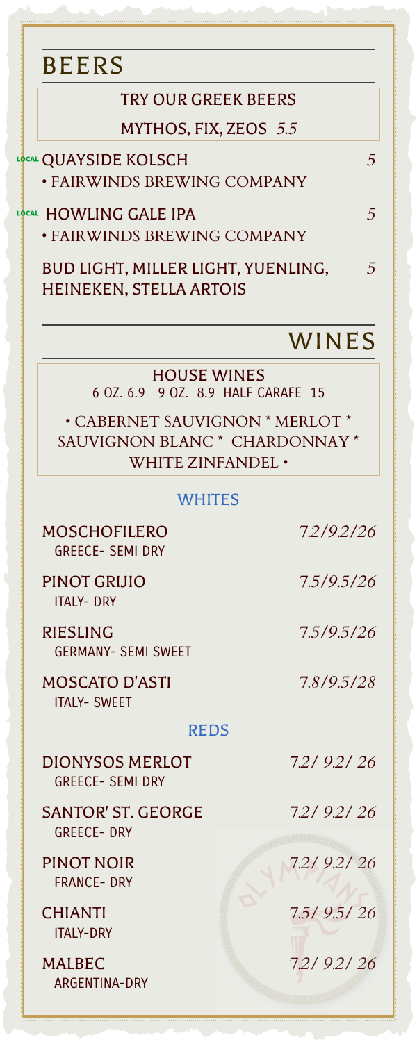## BEERS TRY OUR GREEK BEERS MYTHOS, FIX, ZEOS *5.5* LI<mark>o</mark>cal QUAYSIDE KOLSCH *5* • FAIRWINDS BREWING COMPANY 7 HOWLING GALE IPA *5* • FAIRWINDS BREWING COMPANY BUD LIGHT, MILLER LIGHT, YUENLING, *5* HEINEKEN, STELLA ARTOIS WINES HOUSE WINES 6 OZ. 6.9 9 OZ. 8.9 HALF CARAFE 15 • CABERNET SAUVIGNON \* MERLOT \* SAUVIGNON BLANC \* CHARDONNAY \* WHITE ZINFANDEL • **WHITES** MOSCHOFILERO *7.2/9.2/26* GREECE- SEMI DRY PINOT GRIJIO *7.5/9.5/26* ITALY- DRY RIESLING *7.5/9.5/26* GERMANY- SEMI SWEET MOSCATO D'ASTI *7.8/9.5/28* ITALY- SWEET REDS DIONYSOS MERLOT *7.2/ 9.2/ 26* GREECE- SEMI DRY SANTOR' ST. GEORGE *7.2/ 9.2/ 26* GREECE- DRY PINOT NOIR *7.2/ 9.2/ 26* FRANCE- DRY CHIANTI *7.5/ 9.5/ 26* ITALY-DRY MALBEC *7.2/ 9.2/ 26* ARGENTINA-DRY